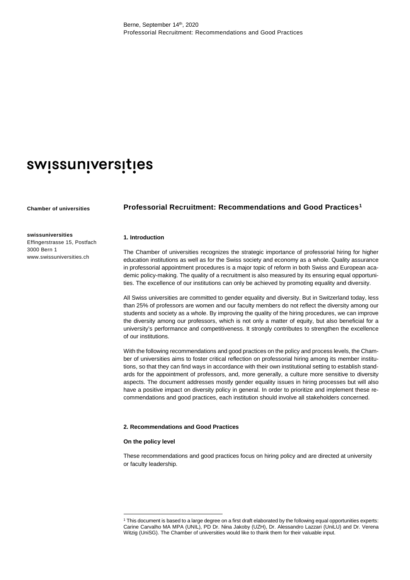# swissuniversities

**Chamber of universities**

#### **swissuniversities**

Effingerstrasse 15, Postfach 3000 Bern 1 www.swissuniversities.ch

### **Professorial Recruitment: Recommendations and Good Practices[1](#page-0-0)**

### **1. Introduction**

The Chamber of universities recognizes the strategic importance of professorial hiring for higher education institutions as well as for the Swiss society and economy as a whole. Quality assurance in professorial appointment procedures is a major topic of reform in both Swiss and European academic policy-making. The quality of a recruitment is also measured by its ensuring equal opportunities. The excellence of our institutions can only be achieved by promoting equality and diversity.

All Swiss universities are committed to gender equality and diversity. But in Switzerland today, less than 25% of professors are women and our faculty members do not reflect the diversity among our students and society as a whole. By improving the quality of the hiring procedures, we can improve the diversity among our professors, which is not only a matter of equity, but also beneficial for a university's performance and competitiveness. It strongly contributes to strengthen the excellence of our institutions.

With the following recommendations and good practices on the policy and process levels, the Chamber of universities aims to foster critical reflection on professorial hiring among its member institutions, so that they can find ways in accordance with their own institutional setting to establish standards for the appointment of professors, and, more generally, a culture more sensitive to diversity aspects. The document addresses mostly gender equality issues in hiring processes but will also have a positive impact on diversity policy in general. In order to prioritize and implement these recommendations and good practices, each institution should involve all stakeholders concerned.

### **2. Recommendations and Good Practices**

#### **On the policy level**

**.** 

These recommendations and good practices focus on hiring policy and are directed at university or faculty leadership.

<span id="page-0-0"></span><sup>1</sup> This document is based to a large degree on a first draft elaborated by the following equal opportunities experts: Carine Carvalho MA MPA (UNIL), PD Dr. Nina Jakoby (UZH), Dr. Alessandro Lazzari (UniLU) and Dr. Verena Witzig (UniSG). The Chamber of universities would like to thank them for their valuable input.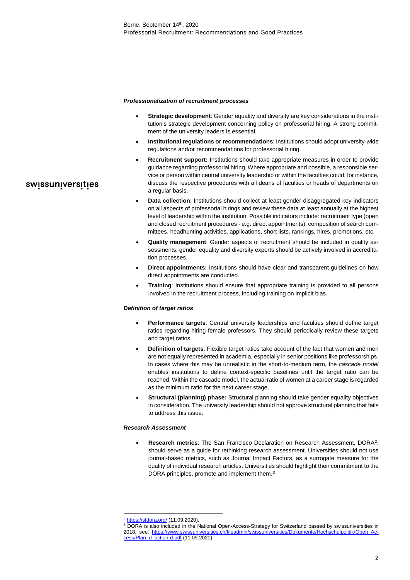### *Professionalization of recruitment processes*

- **Strategic development**: Gender equality and diversity are key considerations in the institution's strategic development concerning policy on professorial hiring. A strong commitment of the university leaders is essential.
- **Institutional regulations or recommendations**: Institutions should adopt university-wide regulations and/or recommendations for professorial hiring.
- **Recruitment support:** Institutions should take appropriate measures in order to provide guidance regarding professorial hiring. Where appropriate and possible, a responsible service or person within central university leadership or within the faculties could, for instance, discuss the respective procedures with all deans of faculties or heads of departments on a regular basis.
- **Data collection**: Institutions should collect at least gender-disaggregated key indicators on all aspects of professorial hirings and review these data at least annually at the highest level of leadership within the institution. Possible indicators include: recruitment type (open and closed recruitment procedures - e.g. direct appointments), composition of search committees, headhunting activities, applications, short lists, rankings, hires, promotions, etc.
- **Quality management**: Gender aspects of recruitment should be included in quality assessments; gender equality and diversity experts should be actively involved in accreditation processes.
- **Direct appointments:** Institutions should have clear and transparent guidelines on how direct appointments are conducted.
- **Training**: Institutions should ensure that appropriate training is provided to all persons involved in the recruitment process, including training on implicit bias.

### *Definition of target ratios*

- **Performance targets**: Central university leaderships and faculties should define target ratios regarding hiring female professors. They should periodically review these targets and target ratios.
- **Definition of targets**: Flexible target ratios take account of the fact that women and men are not equally represented in academia, especially in senior positions like professorships. In cases where this may be unrealistic in the short-to-medium term, the *cascade model* enables institutions to define context-specific baselines until the target ratio can be reached. Within the cascade model, the actual ratio of women at a career stage is regarded as the minimum ratio for the next career stage.
- **Structural (planning) phase:** Structural planning should take gender equality objectives in consideration. The university leadership should not approve structural planning that fails to address this issue.

### *Research Assessment*

• **Research metrics**: The San Francisco Declaration on Research Assessment, DORA[2,](#page-1-0) should serve as a guide for rethinking research assessment. Universities should not use journal-based metrics, such as Journal Impact Factors, as a surrogate measure for the quality of individual research articles. Universities should highlight their commitment to the DORA principles, promote and implement them.<sup>[3](#page-1-1)</sup>

 $\overline{a}$ 

## swissuniversities

<sup>&</sup>lt;sup>2</sup> <https://sfdora.org/> (11.09.2020).

<span id="page-1-1"></span><span id="page-1-0"></span><sup>&</sup>lt;sup>3</sup> DORA is also included in the National Open-Access-Strategy for Switzerland passed by swissuniversities in 2018, see: [https://www.swissuniversities.ch/fileadmin/swissuniversities/Dokumente/Hochschulpolitik/Open\\_Ac](https://www.swissuniversities.ch/fileadmin/swissuniversities/Dokumente/Hochschulpolitik/Open_Access/Plan_d_action-d.pdf)[cess/Plan\\_d\\_action-d.pdf](https://www.swissuniversities.ch/fileadmin/swissuniversities/Dokumente/Hochschulpolitik/Open_Access/Plan_d_action-d.pdf) (11.09.2020).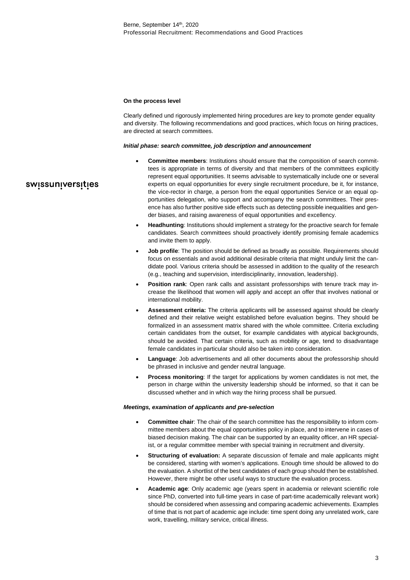### **On the process level**

Clearly defined und rigorously implemented hiring procedures are key to promote gender equality and diversity. The following recommendations and good practices, which focus on hiring practices, are directed at search committees.

### *Initial phase: search committee, job description and announcement*

- **Committee members**: Institutions should ensure that the composition of search committees is appropriate in terms of diversity and that members of the committees explicitly represent equal opportunities. It seems advisable to systematically include one or several experts on equal opportunities for every single recruitment procedure, be it, for instance, the vice-rector in charge, a person from the equal opportunities Service or an equal opportunities delegation, who support and accompany the search committees. Their presence has also further positive side effects such as detecting possible inequalities and gender biases, and raising awareness of equal opportunities and excellency.
- **Headhunting**: Institutions should implement a strategy for the proactive search for female candidates. Search committees should proactively identify promising female academics and invite them to apply.
- **Job profile**: The position should be defined as broadly as possible. Requirements should focus on essentials and avoid additional desirable criteria that might unduly limit the candidate pool. Various criteria should be assessed in addition to the quality of the research (e.g., teaching and supervision, interdisciplinarity, innovation, leadership).
- **Position rank**: Open rank calls and assistant professorships with tenure track may increase the likelihood that women will apply and accept an offer that involves national or international mobility.
- **Assessment criteria:** The criteria applicants will be assessed against should be clearly defined and their relative weight established before evaluation begins. They should be formalized in an assessment matrix shared with the whole committee. Criteria excluding certain candidates from the outset, for example candidates with atypical backgrounds, should be avoided. That certain criteria, such as mobility or age, tend to disadvantage female candidates in particular should also be taken into consideration.
- **Language:** Job advertisements and all other documents about the professorship should be phrased in inclusive and gender neutral language.
- **Process monitoring**: If the target for applications by women candidates is not met, the person in charge within the university leadership should be informed, so that it can be discussed whether and in which way the hiring process shall be pursued.

### *Meetings, examination of applicants and pre-selection*

- **Committee chair**: The chair of the search committee has the responsibility to inform committee members about the equal opportunities policy in place, and to intervene in cases of biased decision making. The chair can be supported by an equality officer, an HR specialist, or a regular committee member with special training in recruitment and diversity.
- **Structuring of evaluation:** A separate discussion of female and male applicants might be considered, starting with women's applications. Enough time should be allowed to do the evaluation. A shortlist of the best candidates of each group should then be established. However, there might be other useful ways to structure the evaluation process.
- **Academic age**: Only academic age (years spent in academia or relevant scientific role since PhD, converted into full-time years in case of part-time academically relevant work) should be considered when assessing and comparing academic achievements. Examples of time that is not part of academic age include: time spent doing any unrelated work, care work, travelling, military service, critical illness.

# swissuniversities